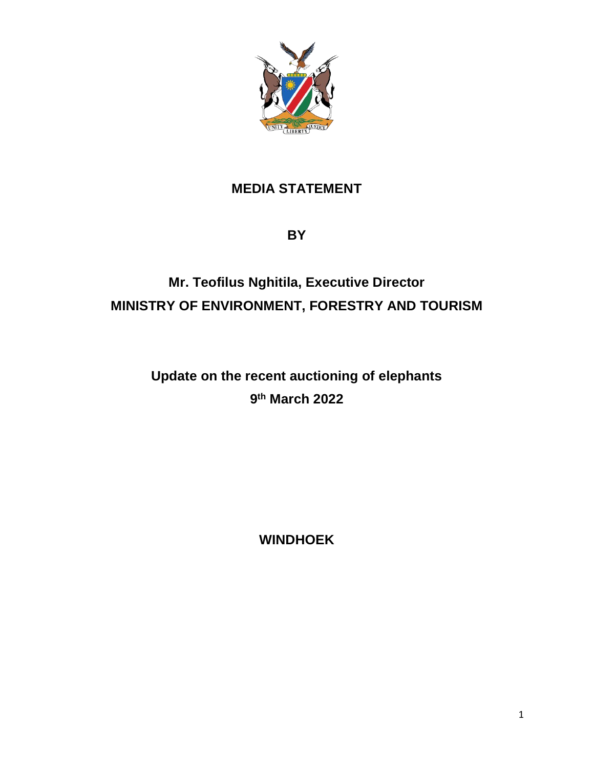

## **MEDIA STATEMENT**

**BY**

## **Mr. Teofilus Nghitila, Executive Director MINISTRY OF ENVIRONMENT, FORESTRY AND TOURISM**

**Update on the recent auctioning of elephants 9 th March 2022**

**WINDHOEK**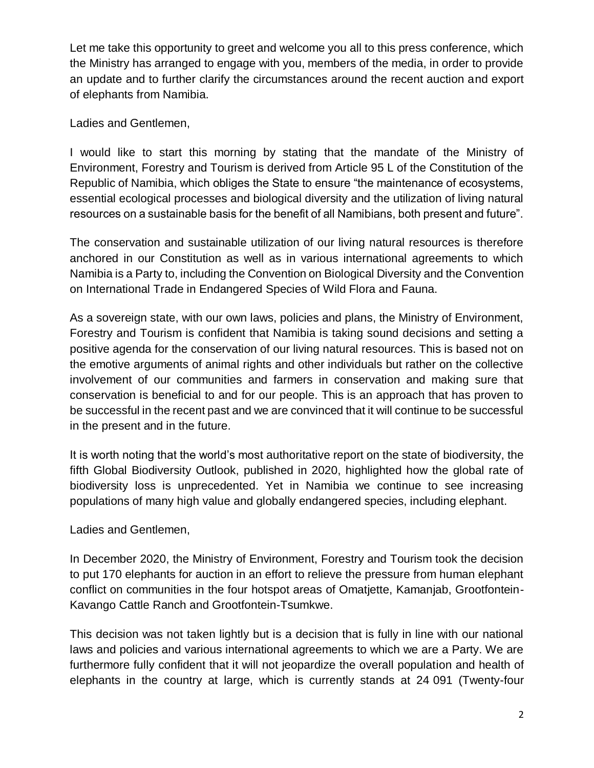Let me take this opportunity to greet and welcome you all to this press conference, which the Ministry has arranged to engage with you, members of the media, in order to provide an update and to further clarify the circumstances around the recent auction and export of elephants from Namibia.

Ladies and Gentlemen,

I would like to start this morning by stating that the mandate of the Ministry of Environment, Forestry and Tourism is derived from Article 95 L of the Constitution of the Republic of Namibia, which obliges the State to ensure "the maintenance of ecosystems, essential ecological processes and biological diversity and the utilization of living natural resources on a sustainable basis for the benefit of all Namibians, both present and future".

The conservation and sustainable utilization of our living natural resources is therefore anchored in our Constitution as well as in various international agreements to which Namibia is a Party to, including the Convention on Biological Diversity and the Convention on International Trade in Endangered Species of Wild Flora and Fauna.

As a sovereign state, with our own laws, policies and plans, the Ministry of Environment, Forestry and Tourism is confident that Namibia is taking sound decisions and setting a positive agenda for the conservation of our living natural resources. This is based not on the emotive arguments of animal rights and other individuals but rather on the collective involvement of our communities and farmers in conservation and making sure that conservation is beneficial to and for our people. This is an approach that has proven to be successful in the recent past and we are convinced that it will continue to be successful in the present and in the future.

It is worth noting that the world's most authoritative report on the state of biodiversity, the fifth Global Biodiversity Outlook, published in 2020, highlighted how the global rate of biodiversity loss is unprecedented. Yet in Namibia we continue to see increasing populations of many high value and globally endangered species, including elephant.

Ladies and Gentlemen,

In December 2020, the Ministry of Environment, Forestry and Tourism took the decision to put 170 elephants for auction in an effort to relieve the pressure from human elephant conflict on communities in the four hotspot areas of Omatjette, Kamanjab, Grootfontein-Kavango Cattle Ranch and Grootfontein-Tsumkwe.

This decision was not taken lightly but is a decision that is fully in line with our national laws and policies and various international agreements to which we are a Party. We are furthermore fully confident that it will not jeopardize the overall population and health of elephants in the country at large, which is currently stands at 24 091 (Twenty-four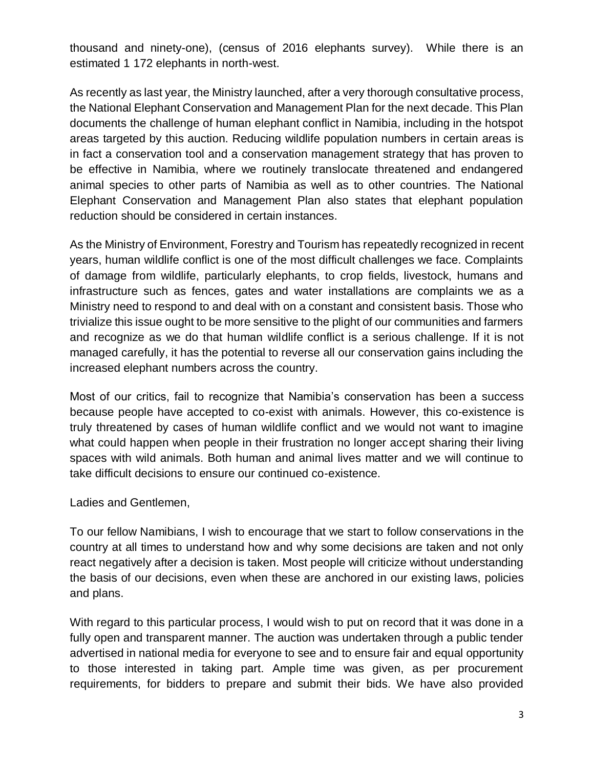thousand and ninety-one), (census of 2016 elephants survey). While there is an estimated 1 172 elephants in north-west.

As recently as last year, the Ministry launched, after a very thorough consultative process, the National Elephant Conservation and Management Plan for the next decade. This Plan documents the challenge of human elephant conflict in Namibia, including in the hotspot areas targeted by this auction. Reducing wildlife population numbers in certain areas is in fact a conservation tool and a conservation management strategy that has proven to be effective in Namibia, where we routinely translocate threatened and endangered animal species to other parts of Namibia as well as to other countries. The National Elephant Conservation and Management Plan also states that elephant population reduction should be considered in certain instances.

As the Ministry of Environment, Forestry and Tourism has repeatedly recognized in recent years, human wildlife conflict is one of the most difficult challenges we face. Complaints of damage from wildlife, particularly elephants, to crop fields, livestock, humans and infrastructure such as fences, gates and water installations are complaints we as a Ministry need to respond to and deal with on a constant and consistent basis. Those who trivialize this issue ought to be more sensitive to the plight of our communities and farmers and recognize as we do that human wildlife conflict is a serious challenge. If it is not managed carefully, it has the potential to reverse all our conservation gains including the increased elephant numbers across the country.

Most of our critics, fail to recognize that Namibia's conservation has been a success because people have accepted to co-exist with animals. However, this co-existence is truly threatened by cases of human wildlife conflict and we would not want to imagine what could happen when people in their frustration no longer accept sharing their living spaces with wild animals. Both human and animal lives matter and we will continue to take difficult decisions to ensure our continued co-existence.

Ladies and Gentlemen,

To our fellow Namibians, I wish to encourage that we start to follow conservations in the country at all times to understand how and why some decisions are taken and not only react negatively after a decision is taken. Most people will criticize without understanding the basis of our decisions, even when these are anchored in our existing laws, policies and plans.

With regard to this particular process, I would wish to put on record that it was done in a fully open and transparent manner. The auction was undertaken through a public tender advertised in national media for everyone to see and to ensure fair and equal opportunity to those interested in taking part. Ample time was given, as per procurement requirements, for bidders to prepare and submit their bids. We have also provided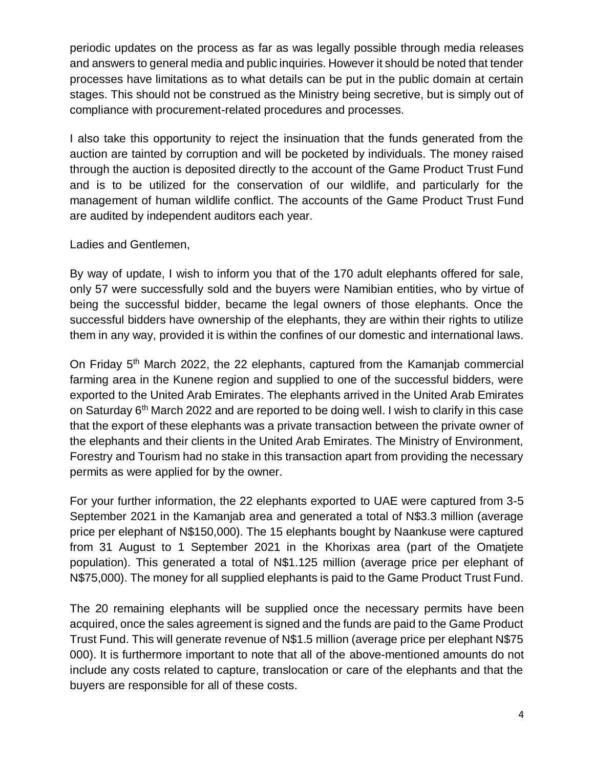periodic updates on the process as far as was legally possible through media releases and answers to general media and public inquiries. However it should be noted that tender processes have limitations as to what details can be put in the public domain at certain stages. This should not be construed as the Ministry being secretive, but is simply out of compliance with procurement-related procedures and processes.

I also take this opportunity to reject the insinuation that the funds generated from the auction are tainted by corruption and will be pocketed by individuals. The money raised through the auction is deposited directly to the account of the Game Product Trust Fund and is to be utilized for the conservation of our wildlife, and particularly for the management of human wildlife conflict. The accounts of the Game Product Trust Fund are audited by independent auditors each year.

Ladies and Gentlemen,

By way of update, I wish to inform you that of the 170 adult elephants offered for sale, only 57 were successfully sold and the buyers were Namibian entities, who by virtue of being the successful bidder, became the legal owners of those elephants. Once the successful bidders have ownership of the elephants, they are within their rights to utilize them in any way, provided it is within the confines of our domestic and international laws.

On Friday 5<sup>th</sup> March 2022, the 22 elephants, captured from the Kamanjab commercial farming area in the Kunene region and supplied to one of the successful bidders, were exported to the United Arab Emirates. The elephants arrived in the United Arab Emirates on Saturday 6<sup>th</sup> March 2022 and are reported to be doing well. I wish to clarify in this case that the export of these elephants was a private transaction between the private owner of the elephants and their clients in the United Arab Emirates. The Ministry of Environment, Forestry and Tourism had no stake in this transaction apart from providing the necessary permits as were applied for by the owner.

For your further information, the 22 elephants exported to UAE were captured from 3-5 September 2021 in the Kamanjab area and generated a total of N\$3.3 million (average price per elephant of N\$150,000). The 15 elephants bought by Naankuse were captured from 31 August to 1 September 2021 in the Khorixas area (part of the Omatjete population). This generated a total of N\$1.125 million (average price per elephant of N\$75,000). The money for all supplied elephants is paid to the Game Product Trust Fund.

The 20 remaining elephants will be supplied once the necessary permits have been acquired, once the sales agreement is signed and the funds are paid to the Game Product Trust Fund. This will generate revenue of N\$1.5 million (average price per elephant N\$75 000). It is furthermore important to note that all of the above-mentioned amounts do not include any costs related to capture, translocation or care of the elephants and that the buyers are responsible for all of these costs.